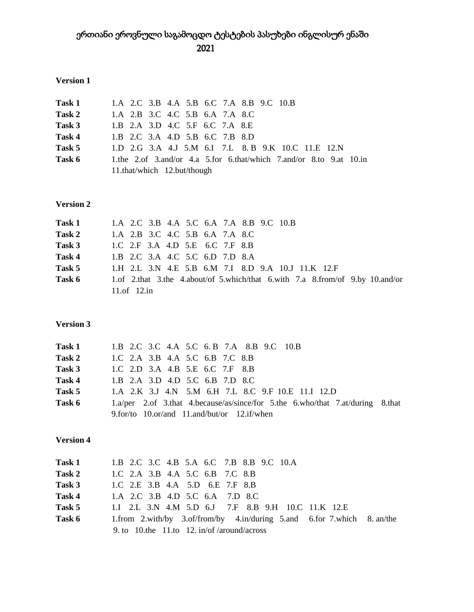# ერთიანი ეროვნული საგამოცდო ტესტების პასუხები ინგლისურ ენაში 2021

## **Version 1**

| <b>Task 1</b> | 1.A 2.C 3.B 4.A 5.B 6.C 7.A 8.B 9.C 10.B                            |
|---------------|---------------------------------------------------------------------|
| Task 2        | 1.A 2.B 3.C 4.C 5.B 6.A 7.A 8.C                                     |
| Task 3        | 1.B 2.A 3.D 4.C 5.F 6.C 7.A 8.E                                     |
| Task 4        | 1.B 2.C 3.A 4.D 5.B 6.C 7.B 8.D                                     |
| Task 5        | 1.D 2.G 3.A 4.J 5.M 6.I 7.L 8.B 9.K 10.C 11.E 12.N                  |
| Task 6        | 1.the 2.of 3.and/or 4.a 5.for 6.that/which 7.and/or 8.to 9.at 10.in |
|               | 11.that/which 12.but/though                                         |

## **Version 2**

| Task 1 | 1.A 2.C 3.B 4.A 5.C 6.A 7.A 8.B 9.C 10.B                                      |
|--------|-------------------------------------------------------------------------------|
| Task 2 | 1.A 2.B 3.C 4.C 5.B 6.A 7.A 8.C                                               |
| Task 3 | 1.C 2.F 3.A 4.D 5.E 6.C 7.F 8.B                                               |
| Task 4 | 1.B 2.C 3.A 4.C 5.C 6.D 7.D 8.A                                               |
| Task 5 | 1.H 2.L 3.N 4.E 5.B 6.M 7.I 8.D 9.A 10.J 11.K 12.F                            |
| Task 6 | 1.of 2.that 3.the 4.about/of 5.which/that 6.with 7.a 8.from/of 9.by 10.and/or |
|        | 11.of 12.in                                                                   |

# **Version 3**

|        | Task 1 1.B 2.C 3.C 4.A 5.C 6.B 7.A 8.B 9.C 10.B                                |
|--------|--------------------------------------------------------------------------------|
| Task 2 | 1.C 2.A 3.B 4.A 5.C 6.B 7.C 8.B                                                |
|        | <b>Task 3</b> 1.C 2.D 3.A 4.B 5.E 6.C 7.F 8.B                                  |
| Task 4 | 1.B 2.A 3.D 4.D 5.C 6.B 7.D 8.C                                                |
| Task 5 | 1.A 2.K 3.J 4.N 5.M 6.H 7.L 8.C 9.F 10.E 11.I 12.D                             |
| Task 6 | 1.a/per 2.of 3.that 4.because/as/since/for 5.the 6.who/that 7.at/during 8.that |
|        | 9.for/to $10.$ or/and $11.$ and/but/or $12.$ if/when                           |

## **Version 4**

|        | Task 1 1.B 2.C 3.C 4.B 5.A 6.C 7.B 8.B 9.C 10.A                         |  |
|--------|-------------------------------------------------------------------------|--|
| Task 2 | 1.C 2.A 3.B 4.A 5.C 6.B 7.C 8.B                                         |  |
|        | <b>Task 3</b> 1.C 2.E 3.B 4.A 5.D 6.E 7.F 8.B                           |  |
| Task 4 | 1.A 2.C 3.B 4.D 5.C 6.A 7.D 8.C                                         |  |
| Task 5 | 1.I 2.L 3.N 4.M 5.D 6.J 7.F 8.B 9.H 10.C 11.K 12.E                      |  |
| Task 6 | 1.from 2.with/by 3.of/from/by 4.in/during 5.and 6.for 7.which 8. an/the |  |
|        | 9. to 10. the 11. to 12. in/of/around/across                            |  |